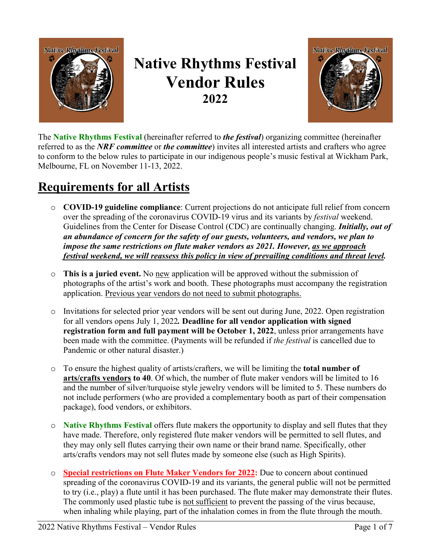

## **Native Rhythms Festival Vendor Rules 2022**



The **Native Rhythms Festival** (hereinafter referred to *the festival*) organizing committee (hereinafter referred to as the *NRF committee* or *the committee*) invites all interested artists and crafters who agree to conform to the below rules to participate in our indigenous people's music festival at Wickham Park, Melbourne, FL on November 11-13, 2022.

## **Requirements for all Artists**

- o **COVID-19 guideline compliance**: Current projections do not anticipate full relief from concern over the spreading of the coronavirus COVID-19 virus and its variants by *festival* weekend. Guidelines from the Center for Disease Control (CDC) are continually changing. *Initially, out of an abundance of concern for the safety of our guests, volunteers, and vendors, we plan to impose the same restrictions on flute maker vendors as 2021. However, as we approach festival weekend, we will reassess this policy in view of prevailing conditions and threat level.*
- o **This is a juried event.** No new application will be approved without the submission of photographs of the artist's work and booth. These photographs must accompany the registration application. Previous year vendors do not need to submit photographs.
- o Invitations for selected prior year vendors will be sent out during June, 2022. Open registration for all vendors opens July 1, 2022*.* **Deadline for all vendor application with signed registration form and full payment will be October 1, 2022**, unless prior arrangements have been made with the committee. (Payments will be refunded if *the festival* is cancelled due to Pandemic or other natural disaster.)
- o To ensure the highest quality of artists/crafters, we will be limiting the **total number of arts/crafts vendors to 40**. Of which, the number of flute maker vendors will be limited to 16 and the number of silver/turquoise style jewelry vendors will be limited to 5. These numbers do not include performers (who are provided a complementary booth as part of their compensation package), food vendors, or exhibitors.
- o **Native Rhythms Festival** offers flute makers the opportunity to display and sell flutes that they have made. Therefore, only registered flute maker vendors will be permitted to sell flutes, and they may only sell flutes carrying their own name or their brand name. Specifically, other arts/crafts vendors may not sell flutes made by someone else (such as High Spirits).
- o **Special restrictions on Flute Maker Vendors for 2022:** Due to concern about continued spreading of the coronavirus COVID-19 and its variants, the general public will not be permitted to try (i.e., play) a flute until it has been purchased. The flute maker may demonstrate their flutes. The commonly used plastic tube is not sufficient to prevent the passing of the virus because, when inhaling while playing, part of the inhalation comes in from the flute through the mouth.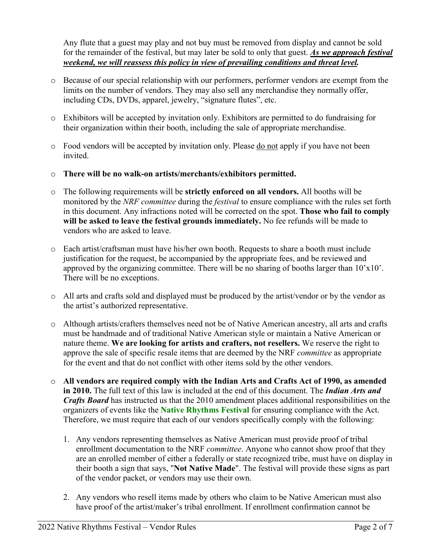Any flute that a guest may play and not buy must be removed from display and cannot be sold for the remainder of the festival, but may later be sold to only that guest. *As we approach festival weekend, we will reassess this policy in view of prevailing conditions and threat level.*

- o Because of our special relationship with our performers, performer vendors are exempt from the limits on the number of vendors. They may also sell any merchandise they normally offer, including CDs, DVDs, apparel, jewelry, "signature flutes", etc.
- o Exhibitors will be accepted by invitation only. Exhibitors are permitted to do fundraising for their organization within their booth, including the sale of appropriate merchandise.
- o Food vendors will be accepted by invitation only. Please do not apply if you have not been invited.
- o **There will be no walk-on artists/merchants/exhibitors permitted.**
- o The following requirements will be **strictly enforced on all vendors.** All booths will be monitored by the *NRF committee* during the *festival* to ensure compliance with the rules set forth in this document. Any infractions noted will be corrected on the spot. **Those who fail to comply will be asked to leave the festival grounds immediately.** No fee refunds will be made to vendors who are asked to leave.
- o Each artist/craftsman must have his/her own booth. Requests to share a booth must include justification for the request, be accompanied by the appropriate fees, and be reviewed and approved by the organizing committee. There will be no sharing of booths larger than  $10'x10'$ . There will be no exceptions.
- o All arts and crafts sold and displayed must be produced by the artist/vendor or by the vendor as the artist's authorized representative.
- o Although artists/crafters themselves need not be of Native American ancestry, all arts and crafts must be handmade and of traditional Native American style or maintain a Native American or nature theme. **We are looking for artists and crafters, not resellers.** We reserve the right to approve the sale of specific resale items that are deemed by the NRF *committee* as appropriate for the event and that do not conflict with other items sold by the other vendors.
- o **All vendors are required comply with the Indian Arts and Crafts Act of 1990, as amended in 2010.** The full text of this law is included at the end of this document. The *Indian Arts and Crafts Board* has instructed us that the 2010 amendment places additional responsibilities on the organizers of events like the **Native Rhythms Festival** for ensuring compliance with the Act. Therefore, we must require that each of our vendors specifically comply with the following:
	- 1. Any vendors representing themselves as Native American must provide proof of tribal enrollment documentation to the NRF *committee*. Anyone who cannot show proof that they are an enrolled member of either a federally or state recognized tribe, must have on display in their booth a sign that says, "**Not Native Made**". The festival will provide these signs as part of the vendor packet, or vendors may use their own.
	- 2. Any vendors who resell items made by others who claim to be Native American must also have proof of the artist/maker's tribal enrollment. If enrollment confirmation cannot be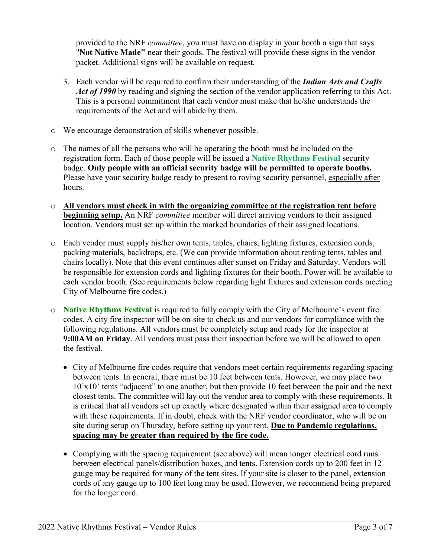provided to the NRF *committee*, you must have on display in your booth a sign that says "**Not Native Made"** near their goods. The festival will provide these signs in the vendor packet. Additional signs will be available on request.

- 3. Each vendor will be required to confirm their understanding of the *Indian Arts and Crafts Act of 1990* by reading and signing the section of the vendor application referring to this Act. This is a personal commitment that each vendor must make that he/she understands the requirements of the Act and will abide by them.
- o We encourage demonstration of skills whenever possible.
- o The names of all the persons who will be operating the booth must be included on the registration form. Each of those people will be issued a **Native Rhythms Festival** security badge. **Only people with an official security badge will be permitted to operate booths.**  Please have your security badge ready to present to roving security personnel, especially after hours.
- o **All vendors must check in with the organizing committee at the registration tent before beginning setup.** An NRF *committee* member will direct arriving vendors to their assigned location. Vendors must set up within the marked boundaries of their assigned locations.
- o Each vendor must supply his/her own tents, tables, chairs, lighting fixtures, extension cords, packing materials, backdrops, etc. (We can provide information about renting tents, tables and chairs locally). Note that this event continues after sunset on Friday and Saturday. Vendors will be responsible for extension cords and lighting fixtures for their booth. Power will be available to each vendor booth. (See requirements below regarding light fixtures and extension cords meeting City of Melbourne fire codes.)
- o **Native Rhythms Festival** is required to fully comply with the City of Melbourne's event fire codes. A city fire inspector will be on-site to check us and our vendors for compliance with the following regulations. All vendors must be completely setup and ready for the inspector at **9:00AM on Friday**. All vendors must pass their inspection before we will be allowed to open the festival.
	- City of Melbourne fire codes require that vendors meet certain requirements regarding spacing between tents. In general, there must be 10 feet between tents. However, we may place two 10'x10' tents "adjacent" to one another, but then provide 10 feet between the pair and the next closest tents. The committee will lay out the vendor area to comply with these requirements. It is critical that all vendors set up exactly where designated within their assigned area to comply with these requirements. If in doubt, check with the NRF vendor coordinator, who will be on site during setup on Thursday, before setting up your tent. **Due to Pandemic regulations, spacing may be greater than required by the fire code.**
	- Complying with the spacing requirement (see above) will mean longer electrical cord runs between electrical panels/distribution boxes, and tents. Extension cords up to 200 feet in 12 gauge may be required for many of the tent sites. If your site is closer to the panel, extension cords of any gauge up to 100 feet long may be used. However, we recommend being prepared for the longer cord.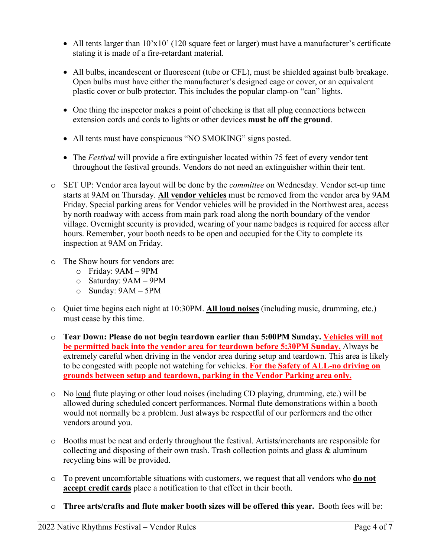- All tents larger than  $10^{\circ}x10^{\circ}$  (120 square feet or larger) must have a manufacturer's certificate stating it is made of a fire-retardant material.
- All bulbs, incandescent or fluorescent (tube or CFL), must be shielded against bulb breakage. Open bulbs must have either the manufacturer's designed cage or cover, or an equivalent plastic cover or bulb protector. This includes the popular clamp-on "can" lights.
- One thing the inspector makes a point of checking is that all plug connections between extension cords and cords to lights or other devices **must be off the ground**.
- All tents must have conspicuous "NO SMOKING" signs posted.
- The *Festival* will provide a fire extinguisher located within 75 feet of every vendor tent throughout the festival grounds. Vendors do not need an extinguisher within their tent.
- o SET UP: Vendor area layout will be done by the *committee* on Wednesday. Vendor set-up time starts at 9AM on Thursday. **All vendor vehicles** must be removed from the vendor area by 9AM Friday. Special parking areas for Vendor vehicles will be provided in the Northwest area, access by north roadway with access from main park road along the north boundary of the vendor village. Overnight security is provided, wearing of your name badges is required for access after hours. Remember, your booth needs to be open and occupied for the City to complete its inspection at 9AM on Friday.
- o The Show hours for vendors are:
	- o Friday: 9AM 9PM
	- o Saturday: 9AM 9PM
	- o Sunday: 9AM 5PM
- o Quiet time begins each night at 10:30PM. **All loud noises** (including music, drumming, etc.) must cease by this time.
- o **Tear Down: Please do not begin teardown earlier than 5:00PM Sunday. Vehicles will not be permitted back into the vendor area for teardown before 5:30PM Sunday.** Always be extremely careful when driving in the vendor area during setup and teardown. This area is likely to be congested with people not watching for vehicles. **For the Safety of ALL-no driving on grounds between setup and teardown, parking in the Vendor Parking area only.**
- o No loud flute playing or other loud noises (including CD playing, drumming, etc.) will be allowed during scheduled concert performances. Normal flute demonstrations within a booth would not normally be a problem. Just always be respectful of our performers and the other vendors around you.
- o Booths must be neat and orderly throughout the festival. Artists/merchants are responsible for collecting and disposing of their own trash. Trash collection points and glass & aluminum recycling bins will be provided.
- o To prevent uncomfortable situations with customers, we request that all vendors who **do not accept credit cards** place a notification to that effect in their booth.
- o **Three arts/crafts and flute maker booth sizes will be offered this year.** Booth fees will be: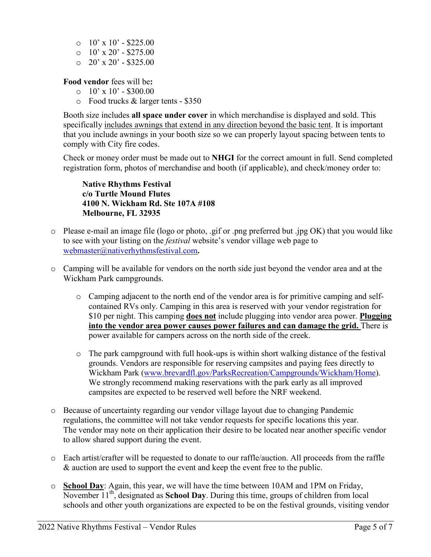- $\degree$  10' x 10' \$225.00
- $\degree$  10' x 20' \$275.00
- $O$  20' x 20' \$325.00

**Food vendor** fees will be**:**

- $\Omega$  10' x 10' \$300.00
- o Food trucks & larger tents \$350

Booth size includes **all space under cover** in which merchandise is displayed and sold. This specifically includes awnings that extend in any direction beyond the basic tent. It is important that you include awnings in your booth size so we can properly layout spacing between tents to comply with City fire codes.

Check or money order must be made out to **NHGI** for the correct amount in full. Send completed registration form, photos of merchandise and booth (if applicable), and check/money order to:

**Native Rhythms Festival c/o Turtle Mound Flutes 4100 N. Wickham Rd. Ste 107A #108 Melbourne, FL 32935**

- o Please e-mail an image file (logo or photo, .gif or .png preferred but .jpg OK) that you would like to see with your listing on the *festival* website's vendor village web page to webmaster@nativerhythmsfestival.com**.**
- o Camping will be available for vendors on the north side just beyond the vendor area and at the Wickham Park campgrounds.
	- o Camping adjacent to the north end of the vendor area is for primitive camping and selfcontained RVs only. Camping in this area is reserved with your vendor registration for \$10 per night. This camping **does not** include plugging into vendor area power. **Plugging into the vendor area power causes power failures and can damage the grid.** There is power available for campers across on the north side of the creek.
	- o The park campground with full hook-ups is within short walking distance of the festival grounds. Vendors are responsible for reserving campsites and paying fees directly to Wickham Park (www.brevardfl.gov/ParksRecreation/Campgrounds/Wickham/Home). We strongly recommend making reservations with the park early as all improved campsites are expected to be reserved well before the NRF weekend.
- o Because of uncertainty regarding our vendor village layout due to changing Pandemic regulations, the committee will not take vendor requests for specific locations this year. The vendor may note on their application their desire to be located near another specific vendor to allow shared support during the event.
- o Each artist/crafter will be requested to donate to our raffle/auction. All proceeds from the raffle & auction are used to support the event and keep the event free to the public.
- o **School Day**: Again, this year, we will have the time between 10AM and 1PM on Friday, November 11<sup>th</sup>, designated as **School Day**. During this time, groups of children from local schools and other youth organizations are expected to be on the festival grounds, visiting vendor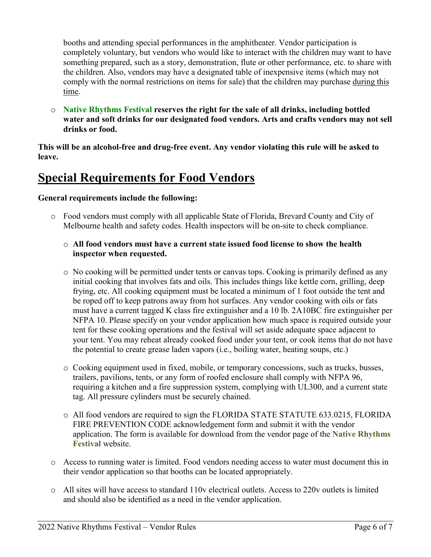booths and attending special performances in the amphitheater. Vendor participation is completely voluntary, but vendors who would like to interact with the children may want to have something prepared, such as a story, demonstration, flute or other performance, etc. to share with the children. Also, vendors may have a designated table of inexpensive items (which may not comply with the normal restrictions on items for sale) that the children may purchase during this time.

o **Native Rhythms Festival reserves the right for the sale of all drinks, including bottled water and soft drinks for our designated food vendors. Arts and crafts vendors may not sell drinks or food.**

**This will be an alcohol-free and drug-free event. Any vendor violating this rule will be asked to leave.**

### **Special Requirements for Food Vendors**

#### **General requirements include the following:**

o Food vendors must comply with all applicable State of Florida, Brevard County and City of Melbourne health and safety codes. Health inspectors will be on-site to check compliance.

#### o **All food vendors must have a current state issued food license to show the health inspector when requested.**

- o No cooking will be permitted under tents or canvas tops. Cooking is primarily defined as any initial cooking that involves fats and oils. This includes things like kettle corn, grilling, deep frying, etc. All cooking equipment must be located a minimum of 1 foot outside the tent and be roped off to keep patrons away from hot surfaces. Any vendor cooking with oils or fats must have a current tagged K class fire extinguisher and a 10 lb. 2A10BC fire extinguisher per NFPA 10. Please specify on your vendor application how much space is required outside your tent for these cooking operations and the festival will set aside adequate space adjacent to your tent. You may reheat already cooked food under your tent, or cook items that do not have the potential to create grease laden vapors (i.e., boiling water, heating soups, etc.)
- o Cooking equipment used in fixed, mobile, or temporary concessions, such as trucks, busses, trailers, pavilions, tents, or any form of roofed enclosure shall comply with NFPA 96, requiring a kitchen and a fire suppression system, complying with UL300, and a current state tag. All pressure cylinders must be securely chained.
- o All food vendors are required to sign the FLORIDA STATE STATUTE 633.0215, FLORIDA FIRE PREVENTION CODE acknowledgement form and submit it with the vendor application. The form is available for download from the vendor page of the **Native Rhythms Festival** website.
- o Access to running water is limited. Food vendors needing access to water must document this in their vendor application so that booths can be located appropriately.
- o All sites will have access to standard 110v electrical outlets. Access to 220v outlets is limited and should also be identified as a need in the vendor application.